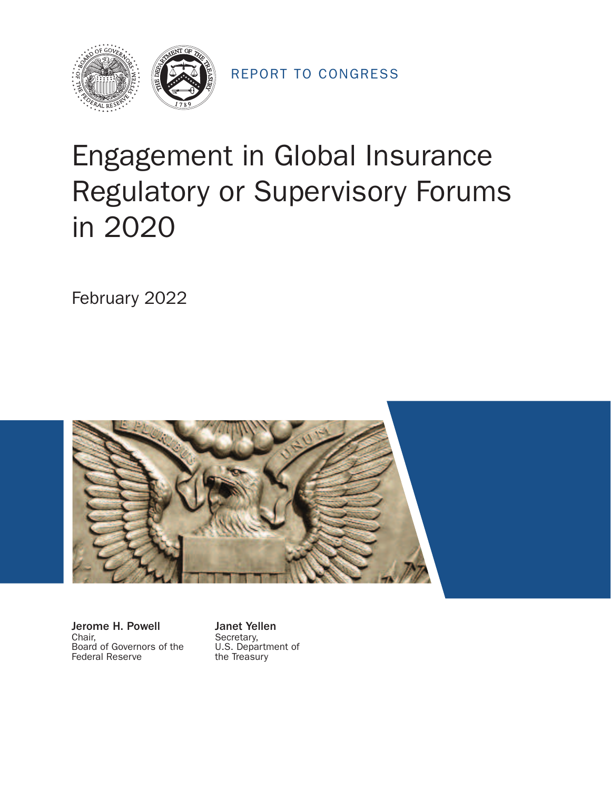

REPORT TO CONGRESS

# Engagement in Global Insurance Regulatory or Supervisory Forums in 2020

February 2022



**Jerome H. Powell Janet Yellen**<br>Chair, Secretary, Board of Governors of the U.S. Department Federal Reserve the Treasury Federal Reserve

Secretary,<br>U.S. Department of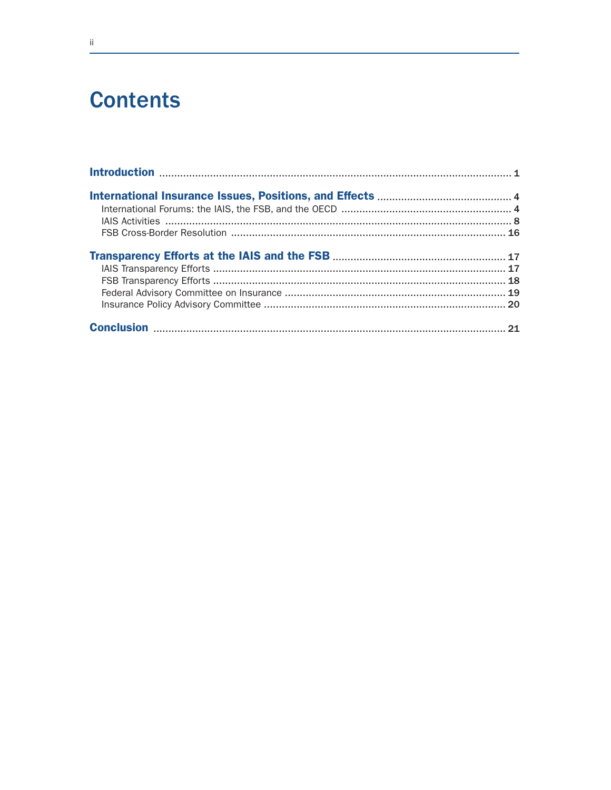# **Contents**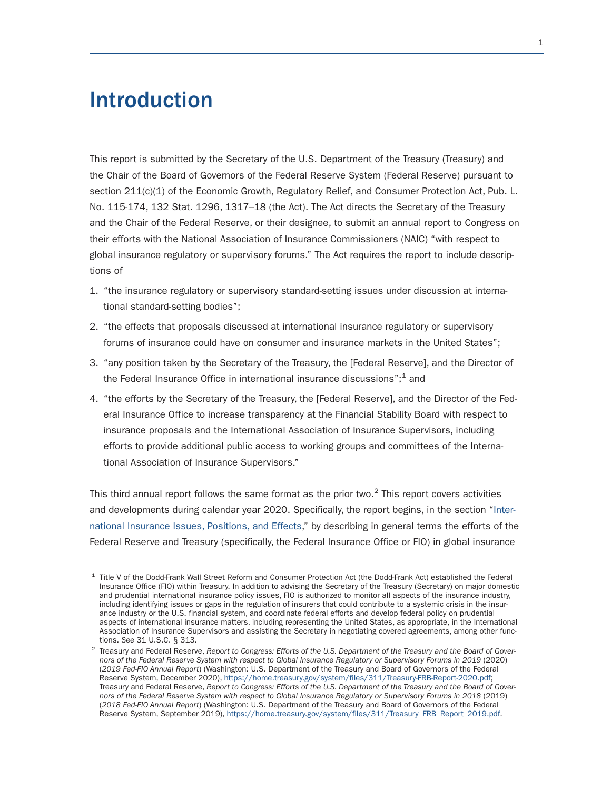# Introduction

This report is submitted by the Secretary of the U.S. Department of the Treasury (Treasury) and the Chair of the Board of Governors of the Federal Reserve System (Federal Reserve) pursuant to section 211(c)(1) of the Economic Growth, Regulatory Relief, and Consumer Protection Act, Pub. L. No. 115-174, 132 Stat. 1296, 1317–18 (the Act). The Act directs the Secretary of the Treasury and the Chair of the Federal Reserve, or their designee, to submit an annual report to Congress on their efforts with the National Association of Insurance Commissioners (NAIC) "with respect to global insurance regulatory or supervisory forums." The Act requires the report to include descriptions of

- 1. "the insurance regulatory or supervisory standard-setting issues under discussion at international standard-setting bodies";
- 2. "the effects that proposals discussed at international insurance regulatory or supervisory forums of insurance could have on consumer and insurance markets in the United States";
- 3. "any position taken by the Secretary of the Treasury, the [Federal Reserve], and the Director of the Federal Insurance Office in international insurance discussions"; $<sup>1</sup>$  and</sup>
- 4. "the efforts by the Secretary of the Treasury, the [Federal Reserve], and the Director of the Federal Insurance Office to increase transparency at the Financial Stability Board with respect to insurance proposals and the International Association of Insurance Supervisors, including efforts to provide additional public access to working groups and committees of the International Association of Insurance Supervisors."

This third annual report follows the same format as the prior two. $2$  This report covers activities and developments during calendar year 2020. Specifically, the report begins, in the section "International Insurance Issues, Positions, and Effects," by describing in general terms the efforts of the Federal Reserve and Treasury (specifically, the Federal Insurance Office or FIO) in global insurance

<sup>1</sup> Title V of the Dodd-Frank Wall Street Reform and Consumer Protection Act (the Dodd-Frank Act) established the Federal Insurance Office (FIO) within Treasury. In addition to advising the Secretary of the Treasury (Secretary) on major domestic and prudential international insurance policy issues, FIO is authorized to monitor all aspects of the insurance industry, including identifying issues or gaps in the regulation of insurers that could contribute to a systemic crisis in the insurance industry or the U.S. financial system, and coordinate federal efforts and develop federal policy on prudential aspects of international insurance matters, including representing the United States, as appropriate, in the International Association of Insurance Supervisors and assisting the Secretary in negotiating covered agreements, among other func-<br>tions. See 31 U.S.C. § 313.

<sup>&</sup>lt;sup>2</sup> Treasury and Federal Reserve, Report to Congress: Efforts of the U.S. Department of the Treasury and the Board of Gover*nors of the Federal Reserve System with respect to Global Insurance Regulatory or Supervisory Forums in 2019* (2020) (*2019 Fed-FIO Annual Report*) (Washington: U.S. Department of the Treasury and Board of Governors of the Federal Reserve System, December 2020), https://home.treasury.gov/system/files/311/Treasury-FRB-Report-2020.pdf; Treasury and Federal Reserve, *Report to Congress: Efforts of the U.S. Department of the Treasury and the Board of Governors of the Federal Reserve System with respect to Global Insurance Regulatory or Supervisory Forums in 2018 (2019)* (*2018 Fed-FIO Annual Report*) (Washington: U.S. Department of the Treasury and Board of Governors of the Federal Reserve System, September 2019), https://home.treasury.gov/system/files/311/Treasury\_FRB\_Report\_2019.pdf.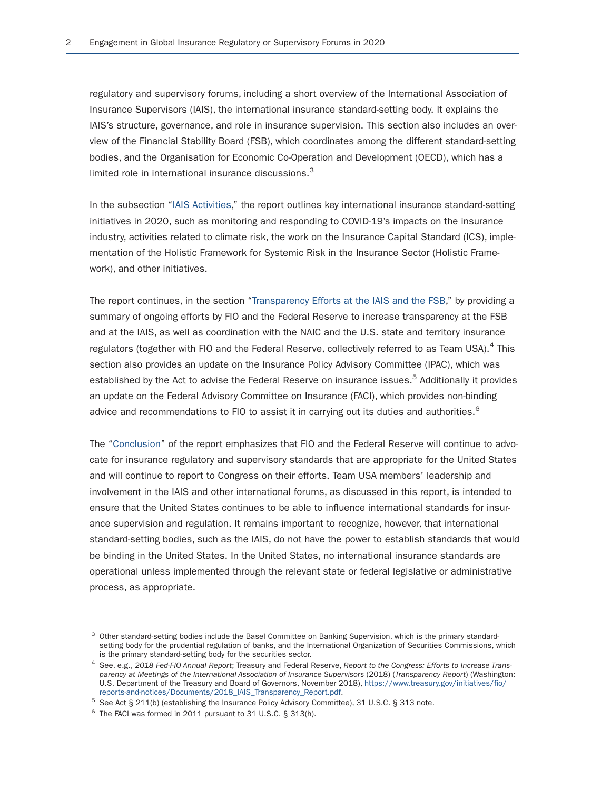regulatory and supervisory forums, including a short overview of the International Association of Insurance Supervisors (IAIS), the international insurance standard-setting body. It explains the IAIS's structure, governance, and role in insurance supervision. This section also includes an overview of the Financial Stability Board (FSB), which coordinates among the different standard-setting bodies, and the Organisation for Economic Co-Operation and Development (OECD), which has a limited role in international insurance discussions.<sup>3</sup>

In the subsection "IAIS Activities," the report outlines key international insurance standard-setting initiatives in 2020, such as monitoring and responding to COVID-19's impacts on the insurance industry, activities related to climate risk, the work on the Insurance Capital Standard (ICS), implementation of the Holistic Framework for Systemic Risk in the Insurance Sector (Holistic Framework), and other initiatives.

The report continues, in the section "Transparency Efforts at the IAIS and the FSB," by providing a summary of ongoing efforts by FIO and the Federal Reserve to increase transparency at the FSB and at the IAIS, as well as coordination with the NAIC and the U.S. state and territory insurance regulators (together with FIO and the Federal Reserve, collectively referred to as Team USA).<sup>4</sup> This section also provides an update on the Insurance Policy Advisory Committee (IPAC), which was established by the Act to advise the Federal Reserve on insurance issues.<sup>5</sup> Additionally it provides an update on the Federal Advisory Committee on Insurance (FACI), which provides non-binding advice and recommendations to FIO to assist it in carrying out its duties and authorities.<sup>6</sup>

The "Conclusion" of the report emphasizes that FIO and the Federal Reserve will continue to advocate for insurance regulatory and supervisory standards that are appropriate for the United States and will continue to report to Congress on their efforts. Team USA members' leadership and involvement in the IAIS and other international forums, as discussed in this report, is intended to ensure that the United States continues to be able to influence international standards for insurance supervision and regulation. It remains important to recognize, however, that international standard-setting bodies, such as the IAIS, do not have the power to establish standards that would be binding in the United States. In the United States, no international insurance standards are operational unless implemented through the relevant state or federal legislative or administrative process, as appropriate.

<sup>&</sup>lt;sup>3</sup> Other standard-setting bodies include the Basel Committee on Banking Supervision, which is the primary standardsetting body for the prudential regulation of banks, and the International Organization of Securities Commissions, which is the primary standard-setting body for the securities sector.

<sup>&</sup>lt;sup>4</sup> See, e.g., 2018 Fed-FIO Annual Report; Treasury and Federal Reserve, Report to the Congress: Efforts to Increase Trans*parency at Meetings of the International Association of Insurance Supervisors* (2018) (*Transparency Report*) (Washington: U.S. Department of the Treasury and Board of Governors, November 2018), https://www.treasury.gov/initiatives/fio/

<sup>&</sup>lt;sup>5</sup> See Act § 211(b) (establishing the Insurance Policy Advisory Committee), 31 U.S.C. § 313 note. <sup>6</sup> The FACI was formed in 2011 pursuant to 31 U.S.C. § 313(h).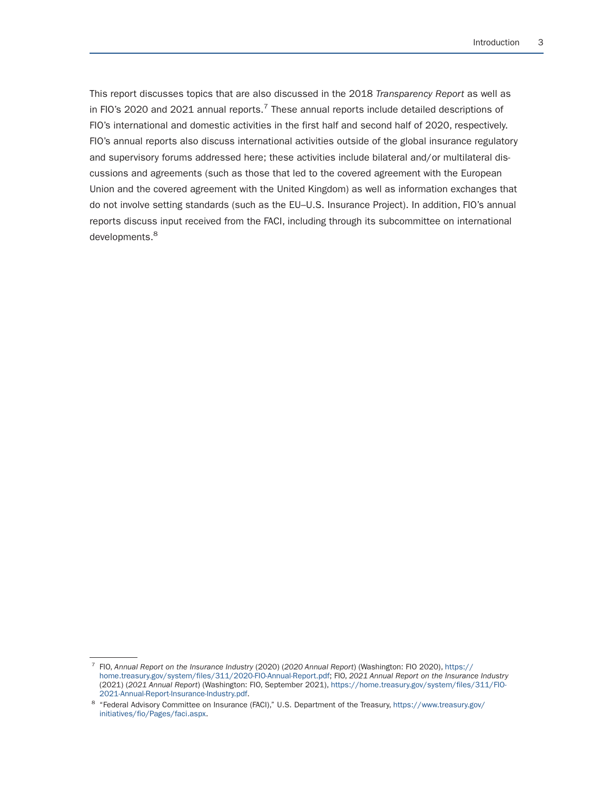This report discusses topics that are also discussed in the 2018 *Transparency Report* as well as in FIO's 2020 and 2021 annual reports.<sup>7</sup> These annual reports include detailed descriptions of FIO's international and domestic activities in the first half and second half of 2020, respectively. FIO's annual reports also discuss international activities outside of the global insurance regulatory and supervisory forums addressed here; these activities include bilateral and/or multilateral discussions and agreements (such as those that led to the covered agreement with the European Union and the covered agreement with the United Kingdom) as well as information exchanges that do not involve setting standards (such as the EU–U.S. Insurance Project). In addition, FIO's annual reports discuss input received from the FACI, including through its subcommittee on international developments.<sup>8</sup>

<sup>7</sup> FIO, *Annual Report on the Insurance Industry* (2020) (*2020 Annual Report*) (Washington: FIO 2020), https:// home.treasury.gov/system/files/311/2020-FIO-Annual-Report.pdf; FIO, *2021 Annual Report on the Insurance Industry*  (2021) (*2021 Annual Report*) (Washington: FIO, September 2021), https://home.treasury.gov/system/files/311/FIO-

<sup>&</sup>lt;sup>8</sup> "Federal Advisory Committee on Insurance (FACI)," U.S. Department of the Treasury, https://www.treasury.gov/ initiatives/fio/Pages/faci.aspx.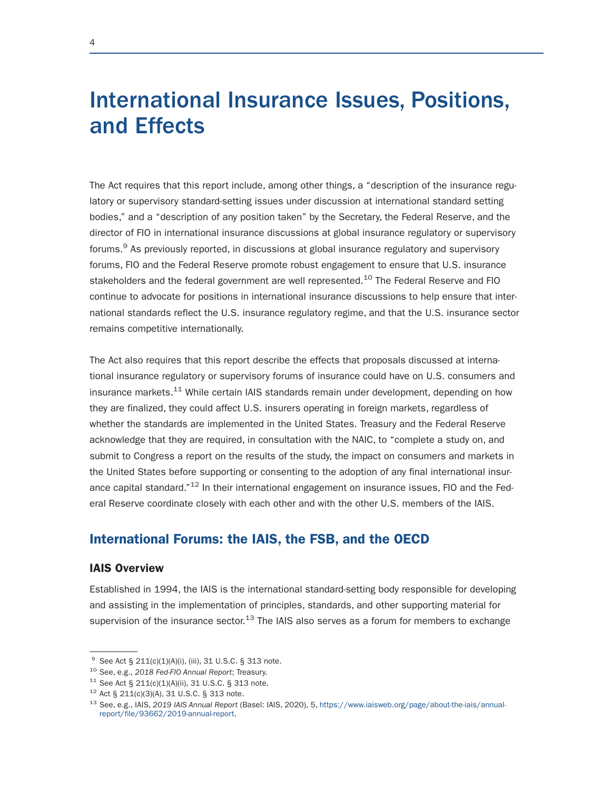# International Insurance Issues, Positions, and Effects

The Act requires that this report include, among other things, a "description of the insurance regulatory or supervisory standard-setting issues under discussion at international standard setting bodies," and a "description of any position taken" by the Secretary, the Federal Reserve, and the director of FIO in international insurance discussions at global insurance regulatory or supervisory forums.<sup>9</sup> As previously reported, in discussions at global insurance regulatory and supervisory forums, FIO and the Federal Reserve promote robust engagement to ensure that U.S. insurance stakeholders and the federal government are well represented.<sup>10</sup> The Federal Reserve and FIO continue to advocate for positions in international insurance discussions to help ensure that international standards reflect the U.S. insurance regulatory regime, and that the U.S. insurance sector remains competitive internationally.

The Act also requires that this report describe the effects that proposals discussed at international insurance regulatory or supervisory forums of insurance could have on U.S. consumers and insurance markets.<sup>11</sup> While certain IAIS standards remain under development, depending on how they are finalized, they could affect U.S. insurers operating in foreign markets, regardless of whether the standards are implemented in the United States. Treasury and the Federal Reserve acknowledge that they are required, in consultation with the NAIC, to "complete a study on, and submit to Congress a report on the results of the study, the impact on consumers and markets in the United States before supporting or consenting to the adoption of any final international insurance capital standard. $12$  In their international engagement on insurance issues, FIO and the Federal Reserve coordinate closely with each other and with the other U.S. members of the IAIS.

# International Forums: the IAIS, the FSB, and the OECD

#### IAIS Overview

Established in 1994, the IAIS is the international standard-setting body responsible for developing and assisting in the implementation of principles, standards, and other supporting material for supervision of the insurance sector.<sup>13</sup> The IAIS also serves as a forum for members to exchange

<sup>&</sup>lt;sup>9</sup> See Act § 211(c)(1)(A)(i), (iii), 31 U.S.C. § 313 note.<br><sup>10</sup> See, e.g., 2018 Fed-FlO Annual Report; Treasury.<br><sup>11</sup> See Act § 211(c)(1)(A)(ii), 31 U.S.C. § 313 note.<br><sup>12</sup> Act § 211(c)(3)(A), 31 U.S.C. § 313 note.<br><sup>13</sup> report/file/93662/2019-annual-report.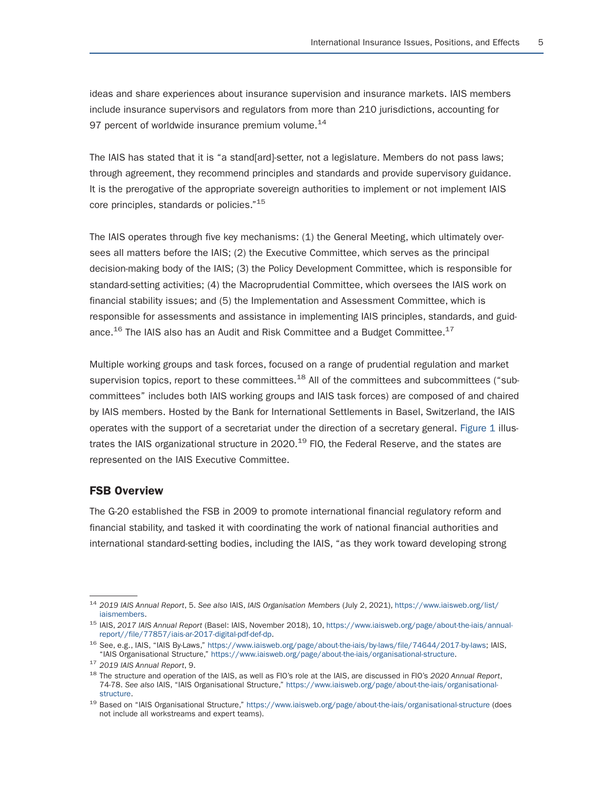ideas and share experiences about insurance supervision and insurance markets. IAIS members include insurance supervisors and regulators from more than 210 jurisdictions, accounting for 97 percent of worldwide insurance premium volume.<sup>14</sup>

The IAIS has stated that it is "a stand[ard]-setter, not a legislature. Members do not pass laws; through agreement, they recommend principles and standards and provide supervisory guidance. It is the prerogative of the appropriate sovereign authorities to implement or not implement IAIS core principles, standards or policies."<sup>15</sup>

The IAIS operates through five key mechanisms: (1) the General Meeting, which ultimately oversees all matters before the IAIS; (2) the Executive Committee, which serves as the principal decision-making body of the IAIS; (3) the Policy Development Committee, which is responsible for standard-setting activities; (4) the Macroprudential Committee, which oversees the IAIS work on financial stability issues; and (5) the Implementation and Assessment Committee, which is responsible for assessments and assistance in implementing IAIS principles, standards, and guidance.<sup>16</sup> The IAIS also has an Audit and Risk Committee and a Budget Committee.<sup>17</sup>

Multiple working groups and task forces, focused on a range of prudential regulation and market supervision topics, report to these committees.<sup>18</sup> All of the committees and subcommittees ("subcommittees" includes both IAIS working groups and IAIS task forces) are composed of and chaired by IAIS members. Hosted by the Bank for International Settlements in Basel, Switzerland, the IAIS operates with the support of a secretariat under the direction of a secretary general. Figure 1 illustrates the IAIS organizational structure in 2020.<sup>19</sup> FIO, the Federal Reserve, and the states are represented on the IAIS Executive Committee.

#### FSB Overview

The G-20 established the FSB in 2009 to promote international financial regulatory reform and financial stability, and tasked it with coordinating the work of national financial authorities and international standard-setting bodies, including the IAIS, "as they work toward developing strong

<sup>14</sup>*2019 IAIS Annual Report*, 5. *See also* IAIS, *IAIS Organisation Members* (July 2, 2021), https://www.iaisweb.org/list/

<sup>&</sup>lt;sup>15</sup> IAIS, 2017 IAIS Annual Report (Basel: IAIS, November 2018), 10, https://www.iaisweb.org/page/about-the-iais/annual-<br>report//file/77857/iais-ar-2017-digital-pdf-def-dp.

<sup>&</sup>lt;sup>16</sup> See, e.g., IAIS, "IAIS By-Laws," https://www.iaisweb.org/page/about-the-iais/by-laws/file/74644/2017-by-laws; IAIS, "IAIS Organisational Structure," https://www.iaisweb.org/page/about-the-iais/organisational-structure

<sup>&</sup>lt;sup>17</sup> 2019 IAIS Annual Report, 9.<br><sup>18</sup> The structure and operation of the IAIS, as well as FIO's role at the IAIS, are discussed in FIO's 2020 Annual Report, 74-78. *See also* IAIS, "IAIS Organisational Structure," https://www.iaisweb.org/page/about-the-iais/organisational-

structure.<br><sup>19</sup> Based on "IAIS Organisational Structure," https://www.iaisweb.org/page/about-the-iais/organisational-structure (does not include all workstreams and expert teams).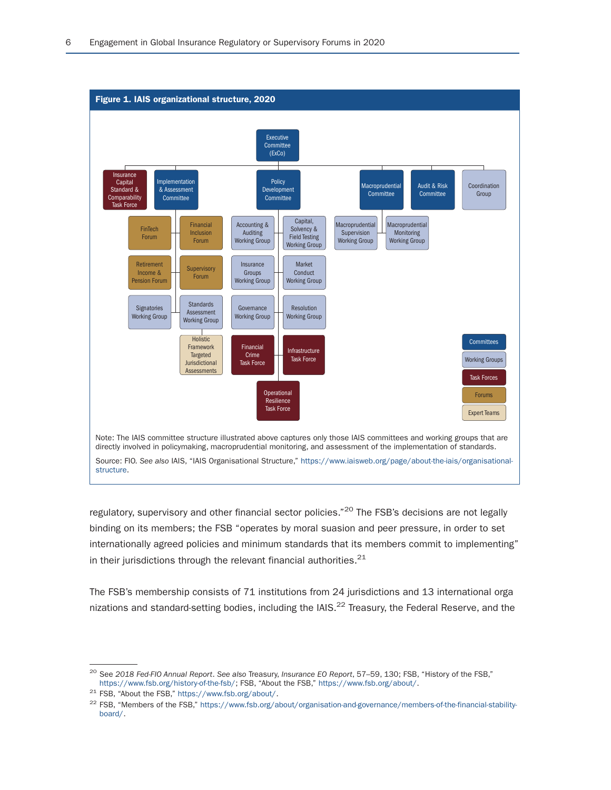

regulatory, supervisory and other financial sector policies."<sup>20</sup> The FSB's decisions are not legally binding on its members; the FSB "operates by moral suasion and peer pressure, in order to set internationally agreed policies and minimum standards that its members commit to implementing" in their jurisdictions through the relevant financial authorities. $^{21}$ 

The FSB's membership consists of 71 institutions from 24 jurisdictions and 13 international orga nizations and standard-setting bodies, including the  $IAB$ ,  $2<sup>2</sup>$  Treasury, the Federal Reserve, and the

<sup>&</sup>lt;sup>20</sup> See *2018 Fed-FIO Annual Report*. See also Treasury, *Insurance EO Report*, 57–59, 130; FSB, "History of the FSB,"<br>https://www.fsb.org/history-of-the-fsb/; FSB, "About the FSB," https://www.fsb.org/about/.

<sup>&</sup>lt;sup>21</sup> FSB, "About the FSB," https://www.fsb.org/about/.<br><sup>22</sup> FSB, "Members of the FSB," https://www.fsb.org/about/organisation-and-governance/members-of-the-financial-stabilityboard/.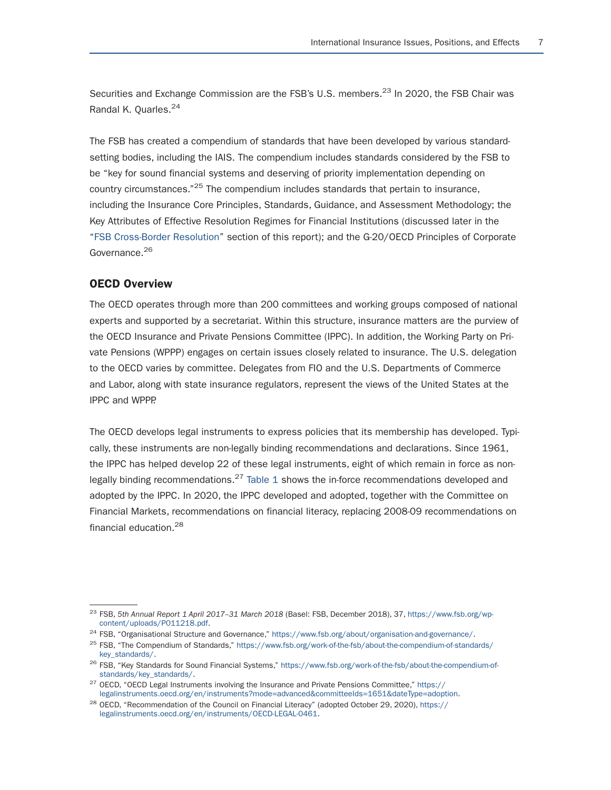Securities and Exchange Commission are the FSB's U.S. members.<sup>23</sup> In 2020, the FSB Chair was Randal K. Quarles.<sup>24</sup>

The FSB has created a compendium of standards that have been developed by various standardsetting bodies, including the IAIS. The compendium includes standards considered by the FSB to be "key for sound financial systems and deserving of priority implementation depending on country circumstances."25 The compendium includes standards that pertain to insurance, including the Insurance Core Principles, Standards, Guidance, and Assessment Methodology; the Key Attributes of Effective Resolution Regimes for Financial Institutions (discussed later in the "FSB Cross-Border Resolution" section of this report); and the G-20/OECD Principles of Corporate Governance.<sup>26</sup>

#### OECD Overview

The OECD operates through more than 200 committees and working groups composed of national experts and supported by a secretariat. Within this structure, insurance matters are the purview of the OECD Insurance and Private Pensions Committee (IPPC). In addition, the Working Party on Private Pensions (WPPP) engages on certain issues closely related to insurance. The U.S. delegation to the OECD varies by committee. Delegates from FIO and the U.S. Departments of Commerce and Labor, along with state insurance regulators, represent the views of the United States at the IPPC and WPPP.

The OECD develops legal instruments to express policies that its membership has developed. Typically, these instruments are non-legally binding recommendations and declarations. Since 1961, the IPPC has helped develop 22 of these legal instruments, eight of which remain in force as nonlegally binding recommendations.<sup>27</sup> Table 1 shows the in-force recommendations developed and adopted by the IPPC. In 2020, the IPPC developed and adopted, together with the Committee on Financial Markets, recommendations on financial literacy, replacing 2008-09 recommendations on financial education.<sup>28</sup>

<sup>&</sup>lt;sup>23</sup> FSB, 5th Annual Report 1 April 2017-31 March 2018 (Basel: FSB, December 2018), 37, https://www.fsb.org/wp-content/uploads/P011218.pdf.

<sup>&</sup>lt;sup>24</sup> FSB, "Organisational Structure and Governance," https://www.fsb.org/about/organisation-and-governance/.<br><sup>25</sup> FSB, "The Compendium of Standards," https://www.fsb.org/work-of-the-fsb/about-the-compendium-of-standards/<br>

<sup>&</sup>lt;sup>26</sup> FSB, "Key Standards for Sound Financial Systems," https://www.fsb.org/work-of-the-fsb/about-the-compendium-of-<br>standards/key\_standards/.

<sup>&</sup>lt;sup>27</sup> OECD, "OECD Legal Instruments involving the Insurance and Private Pensions Committee," https://<br>legalinstruments.oecd.org/en/instruments?mode=advanced&committeeIds=1651&dateType=adoption.

<sup>&</sup>lt;sup>28</sup> OECD, "Recommendation of the Council on Financial Literacy" (adopted October 29, 2020), https:// legalinstruments.oecd.org/en/instruments/OECD-LEGAL-0461.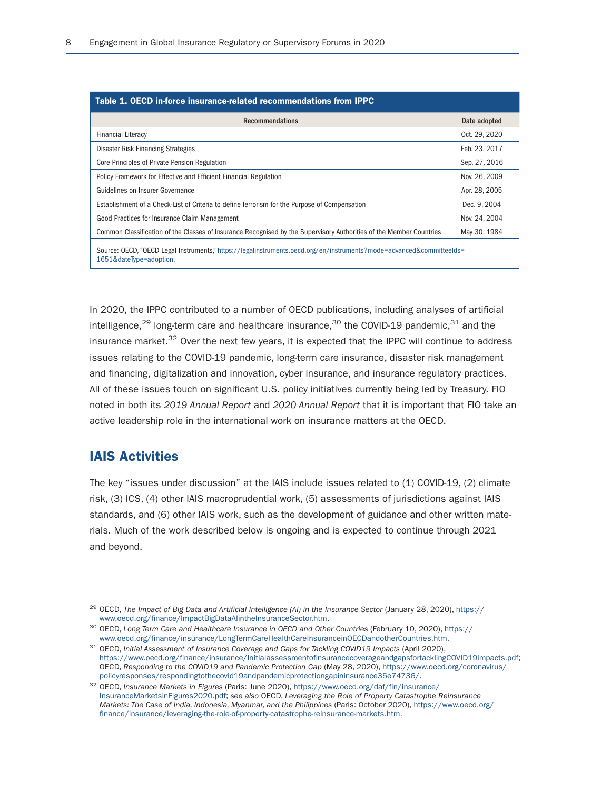| Table 1. OECD in-force insurance-related recommendations from IPPC                                                                              |               |  |
|-------------------------------------------------------------------------------------------------------------------------------------------------|---------------|--|
| <b>Recommendations</b>                                                                                                                          | Date adopted  |  |
| <b>Financial Literacy</b>                                                                                                                       | Oct. 29, 2020 |  |
| Disaster Risk Financing Strategies                                                                                                              | Feb. 23, 2017 |  |
| Core Principles of Private Pension Regulation                                                                                                   | Sep. 27, 2016 |  |
| Policy Framework for Effective and Efficient Financial Regulation                                                                               | Nov. 26, 2009 |  |
| Guidelines on Insurer Governance                                                                                                                | Apr. 28, 2005 |  |
| Establishment of a Check-List of Criteria to define Terrorism for the Purpose of Compensation                                                   | Dec. 9, 2004  |  |
| Good Practices for Insurance Claim Management                                                                                                   | Nov. 24, 2004 |  |
| Common Classification of the Classes of Insurance Recognised by the Supervisory Authorities of the Member Countries                             | May 30, 1984  |  |
| Source: OECD, "OECD Legal Instruments," https://legalinstruments.oecd.org/en/instruments?mode=advanced&committeelds=<br>1651&dateType=adoption. |               |  |

In 2020, the IPPC contributed to a number of OECD publications, including analyses of artificial intelligence,<sup>29</sup> long-term care and healthcare insurance,<sup>30</sup> the COVID-19 pandemic,<sup>31</sup> and the insurance market.<sup>32</sup> Over the next few years, it is expected that the IPPC will continue to address issues relating to the COVID-19 pandemic, long-term care insurance, disaster risk management and financing, digitalization and innovation, cyber insurance, and insurance regulatory practices. All of these issues touch on significant U.S. policy initiatives currently being led by Treasury. FIO noted in both its *2019 Annual Report* and *2020 Annual Report* that it is important that FIO take an active leadership role in the international work on insurance matters at the OECD.

### IAIS Activities

The key "issues under discussion" at the IAIS include issues related to (1) COVID-19, (2) climate risk, (3) ICS, (4) other IAIS macroprudential work, (5) assessments of jurisdictions against IAIS standards, and (6) other IAIS work, such as the development of guidance and other written materials. Much of the work described below is ongoing and is expected to continue through 2021 and beyond.

<sup>&</sup>lt;sup>29</sup> OECD, *The Impact of Big Data and Artificial Intelligence (AI) in the Insurance Sector (January 28, 2020), https:// www.oecd.org/finance/ImpactBigDataAlintheInsuranceSector.htm.* 

<sup>&</sup>lt;sup>30</sup> OECD, Long Term Care and Healthcare Insurance in OECD and Other Countries (February 10, 2020), https://<br>www.oecd.org/finance/insurance/LongTermCareHealthCareInsuranceinOECDandotherCountries.htm.

<sup>&</sup>lt;sup>31</sup> OECD, Initial Assessment of Insurance Coverage and Gaps for Tackling COVID19 Impacts (April 2020), https://www.oecd.org/finance/insurance/InitialassessmentofinsurancecoverageandgapsfortacklingCOVID19impacts.pdf; OECD, *Responding to the COVID19 and Pandemic Protection Gap (May 28, 2020), https://www.oecd.org/coronavirus/*<br>policyresponses/respondingtothecovid19andpandemicprotectiongapininsurance35e74736/.

<sup>&</sup>lt;sup>32</sup> OECD, *Insurance Markets in Figures* (Paris: June 2020), https://www.oecd.org/daf/fin/insurance/ InsuranceMarketsinFigures2020.pdf; *see also* OECD, *Leveraging the Role of Property Catastrophe Reinsurance Markets: The Case of India, Indonesia, Myanmar, and the Philippines* (Paris: October 2020), https://www.oecd.org/ finance/insurance/leveraging-the-role-of-property-catastrophe-reinsurance-markets.htm.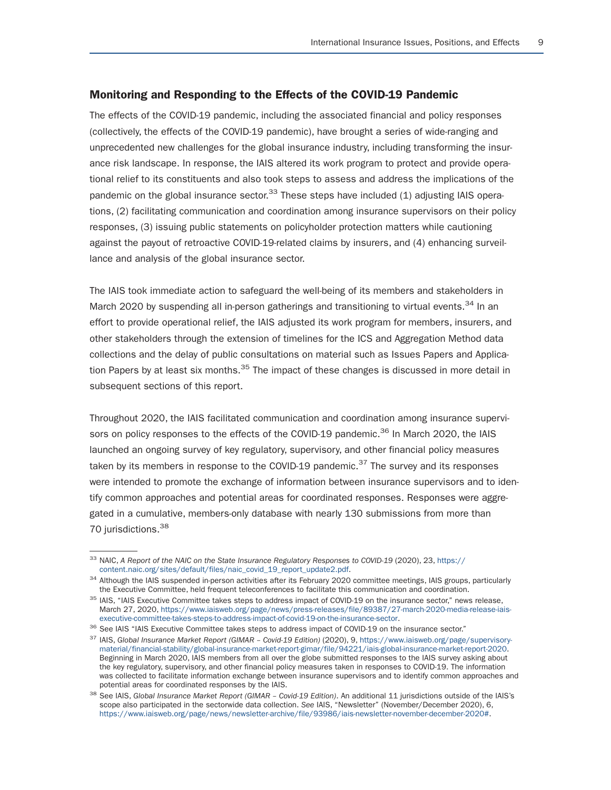#### Monitoring and Responding to the Effects of the COVID-19 Pandemic

The effects of the COVID-19 pandemic, including the associated financial and policy responses (collectively, the effects of the COVID-19 pandemic), have brought a series of wide-ranging and unprecedented new challenges for the global insurance industry, including transforming the insurance risk landscape. In response, the IAIS altered its work program to protect and provide operational relief to its constituents and also took steps to assess and address the implications of the pandemic on the global insurance sector.<sup>33</sup> These steps have included (1) adjusting IAIS operations, (2) facilitating communication and coordination among insurance supervisors on their policy responses, (3) issuing public statements on policyholder protection matters while cautioning against the payout of retroactive COVID-19-related claims by insurers, and (4) enhancing surveillance and analysis of the global insurance sector.

The IAIS took immediate action to safeguard the well-being of its members and stakeholders in March 2020 by suspending all in-person gatherings and transitioning to virtual events.<sup>34</sup> In an effort to provide operational relief, the IAIS adjusted its work program for members, insurers, and other stakeholders through the extension of timelines for the ICS and Aggregation Method data collections and the delay of public consultations on material such as Issues Papers and Application Papers by at least six months.<sup>35</sup> The impact of these changes is discussed in more detail in subsequent sections of this report.

Throughout 2020, the IAIS facilitated communication and coordination among insurance supervisors on policy responses to the effects of the COVID-19 pandemic.<sup>36</sup> In March 2020, the IAIS launched an ongoing survey of key regulatory, supervisory, and other financial policy measures taken by its members in response to the COVID-19 pandemic.<sup>37</sup> The survey and its responses were intended to promote the exchange of information between insurance supervisors and to identify common approaches and potential areas for coordinated responses. Responses were aggregated in a cumulative, members-only database with nearly 130 submissions from more than 70 jurisdictions.<sup>38</sup>

<sup>&</sup>lt;sup>33</sup> NAIC, *A Report of the NAIC on the State Insurance Regulatory Responses to COVID-19 (2020), 23, https://<br>content.naic.org/sites/default/files/naic\_covid\_19\_report\_update2.pdf.* 

<sup>&</sup>lt;sup>34</sup> Although the IAIS suspended in-person activities after its February 2020 committee meetings, IAIS groups, particularly the Executive Committee, held frequent teleconferences to facilitate this communication and coordi

<sup>&</sup>lt;sup>35</sup> IAIS, "IAIS Executive Committee takes steps to address impact of COVID-19 on the insurance sector," news release, March 27, 2020, https://www.iaisweb.org/page/news/press-releases/file/89387/27-march-2020-media-release-iais-executive-committee-takes-steps-to-address-impact-of-covid-19-on-the-insurance-sector.

<sup>&</sup>lt;sup>36</sup> See IAIS "IAIS Executive Committee takes steps to address impact of COVID-19 on the insurance sector."<br><sup>37</sup> IAIS, Global Insurance Market Report (GIMAR - Covid-19 Edition) (2020), 9, https://www.iaisweb.org/page/super material/financial-stability/global-insurance-market-report-gimar/file/94221/iais-global-insurance-market-report-2020. Beginning in March 2020, IAIS members from all over the globe submitted responses to the IAIS survey asking about the key regulatory, supervisory, and other financial policy measures taken in responses to COVID-19. The information was collected to facilitate information exchange between insurance supervisors and to identify common approaches and potential areas for coordinated responses by the IAIS.

<sup>&</sup>lt;sup>38</sup> See IAIS, Global Insurance Market Report (GIMAR – Covid-19 Edition). An additional 11 jurisdictions outside of the IAIS's scope also participated in the sectorwide data collection. *See* IAIS, "Newsletter" (November/December 2020), 6, https://www.iaisweb.org/page/news/newsletter-archive/file/93986/iais-newsletter-november-december-2020#.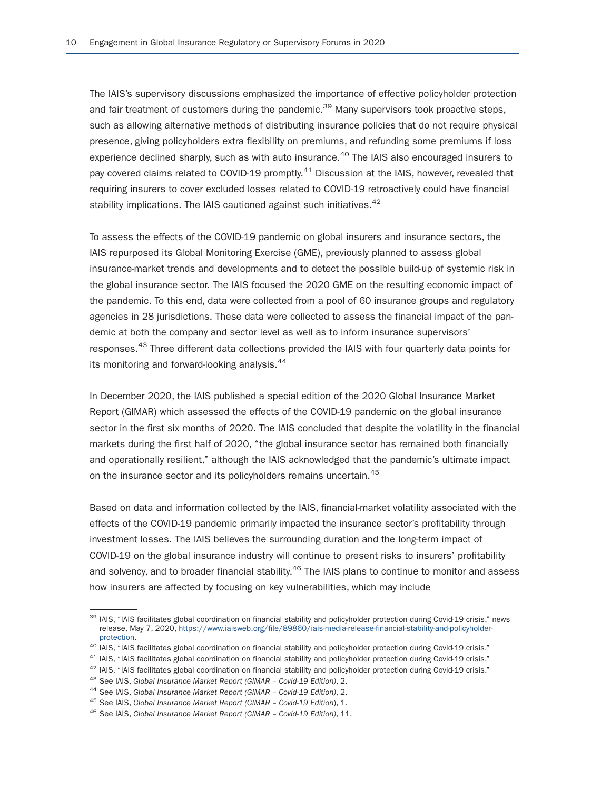The IAIS's supervisory discussions emphasized the importance of effective policyholder protection and fair treatment of customers during the pandemic.<sup>39</sup> Many supervisors took proactive steps, such as allowing alternative methods of distributing insurance policies that do not require physical presence, giving policyholders extra flexibility on premiums, and refunding some premiums if loss experience declined sharply, such as with auto insurance.<sup>40</sup> The IAIS also encouraged insurers to pay covered claims related to COVID-19 promptly.<sup>41</sup> Discussion at the IAIS, however, revealed that requiring insurers to cover excluded losses related to COVID-19 retroactively could have financial stability implications. The IAIS cautioned against such initiatives.<sup>42</sup>

To assess the effects of the COVID-19 pandemic on global insurers and insurance sectors, the IAIS repurposed its Global Monitoring Exercise (GME), previously planned to assess global insurance-market trends and developments and to detect the possible build-up of systemic risk in the global insurance sector. The IAIS focused the 2020 GME on the resulting economic impact of the pandemic. To this end, data were collected from a pool of 60 insurance groups and regulatory agencies in 28 jurisdictions. These data were collected to assess the financial impact of the pandemic at both the company and sector level as well as to inform insurance supervisors' responses.<sup>43</sup> Three different data collections provided the IAIS with four quarterly data points for its monitoring and forward-looking analysis.<sup>44</sup>

In December 2020, the IAIS published a special edition of the 2020 Global Insurance Market Report (GIMAR) which assessed the effects of the COVID-19 pandemic on the global insurance sector in the first six months of 2020. The IAIS concluded that despite the volatility in the financial markets during the first half of 2020, "the global insurance sector has remained both financially and operationally resilient," although the IAIS acknowledged that the pandemic's ultimate impact on the insurance sector and its policyholders remains uncertain.<sup>45</sup>

Based on data and information collected by the IAIS, financial-market volatility associated with the effects of the COVID-19 pandemic primarily impacted the insurance sector's profitability through investment losses. The IAIS believes the surrounding duration and the long-term impact of COVID-19 on the global insurance industry will continue to present risks to insurers' profitability and solvency, and to broader financial stability.<sup>46</sup> The IAIS plans to continue to monitor and assess how insurers are affected by focusing on key vulnerabilities, which may include

<sup>&</sup>lt;sup>39</sup> IAIS, "IAIS facilitates global coordination on financial stability and policyholder protection during Covid-19 crisis," news release, May 7, 2020, https://www.iaisweb.org/file/89860/iais-media-release-financial-stability-and-policyholder-

<sup>&</sup>lt;sup>40</sup> IAIS, "IAIS facilitates global coordination on financial stability and policyholder protection during Covid-19 crisis."<br><sup>41</sup> IAIS, "IAIS facilitates global coordination on financial stability and policyholder protect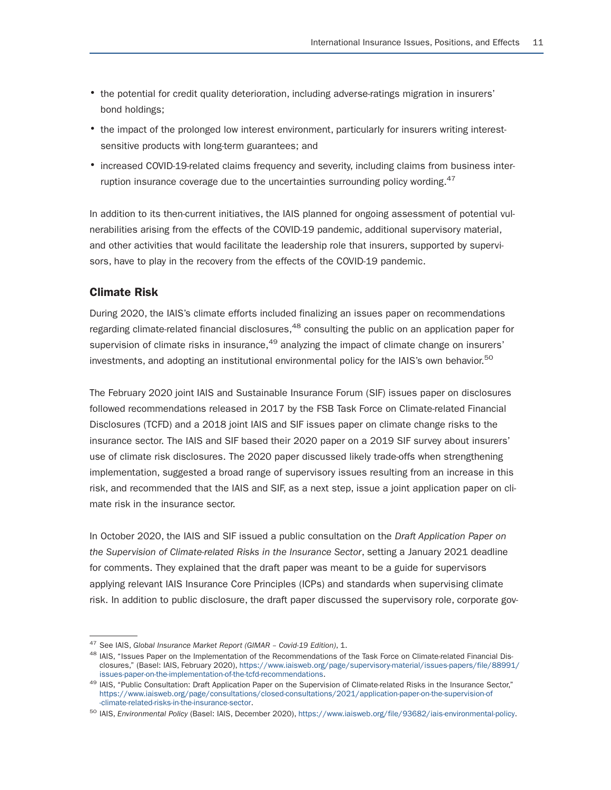- the potential for credit quality deterioration, including adverse-ratings migration in insurers' bond holdings;
- the impact of the prolonged low interest environment, particularly for insurers writing interestsensitive products with long-term guarantees; and
- increased COVID-19-related claims frequency and severity, including claims from business interruption insurance coverage due to the uncertainties surrounding policy wording. $47$

In addition to its then-current initiatives, the IAIS planned for ongoing assessment of potential vulnerabilities arising from the effects of the COVID-19 pandemic, additional supervisory material, and other activities that would facilitate the leadership role that insurers, supported by supervisors, have to play in the recovery from the effects of the COVID-19 pandemic.

#### Climate Risk

During 2020, the IAIS's climate efforts included finalizing an issues paper on recommendations regarding climate-related financial disclosures,<sup>48</sup> consulting the public on an application paper for supervision of climate risks in insurance, $49$  analyzing the impact of climate change on insurers' investments, and adopting an institutional environmental policy for the IAIS's own behavior.<sup>50</sup>

The February 2020 joint IAIS and Sustainable Insurance Forum (SIF) issues paper on disclosures followed recommendations released in 2017 by the FSB Task Force on Climate-related Financial Disclosures (TCFD) and a 2018 joint IAIS and SIF issues paper on climate change risks to the insurance sector. The IAIS and SIF based their 2020 paper on a 2019 SIF survey about insurers' use of climate risk disclosures. The 2020 paper discussed likely trade-offs when strengthening implementation, suggested a broad range of supervisory issues resulting from an increase in this risk, and recommended that the IAIS and SIF, as a next step, issue a joint application paper on climate risk in the insurance sector.

In October 2020, the IAIS and SIF issued a public consultation on the *Draft Application Paper on the Supervision of Climate-related Risks in the Insurance Sector*, setting a January 2021 deadline for comments. They explained that the draft paper was meant to be a guide for supervisors applying relevant IAIS Insurance Core Principles (ICPs) and standards when supervising climate risk. In addition to public disclosure, the draft paper discussed the supervisory role, corporate gov-

<sup>&</sup>lt;sup>47</sup> See IAIS, *Global Insurance Market Report (GIMAR – Covid-19 Edition)*, 1.<br><sup>48</sup> IAIS, "Issues Paper on the Implementation of the Recommendations of the Task Force on Climate-related Financial Disclosures," (Basel: IAIS, February 2020), https://www.iaisweb.org/page/supervisory-material/issues-papers/file/88991/

<sup>&</sup>lt;sup>49</sup> IAIS, "Public Consultation: Draft Application Paper on the Supervision of Climate-related Risks in the Insurance Sector," https://www.iaisweb.org/page/consultations/closed-consultations/2021/application-paper-on-the-supervision-of

<sup>50</sup> IAIS, *Environmental Policy* (Basel: IAIS, December 2020), https://www.iaisweb.org/file/93682/iais-environmental-policy.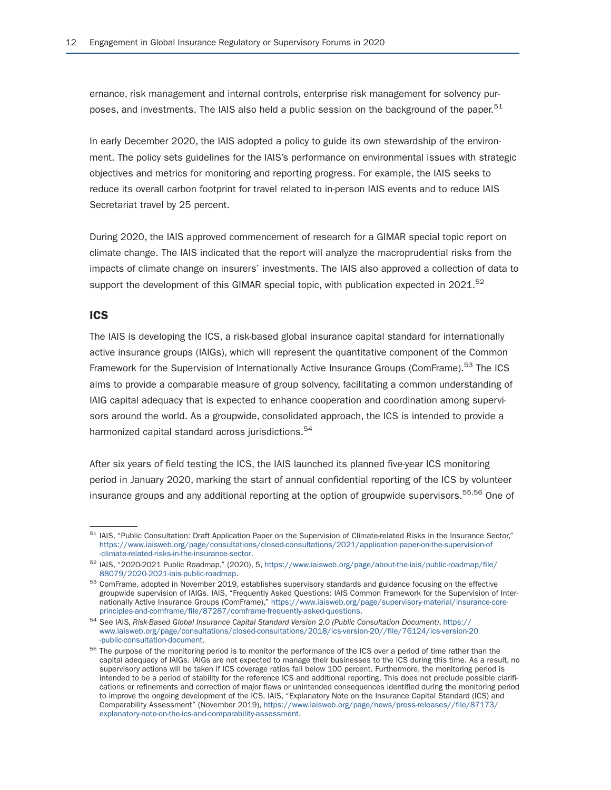ernance, risk management and internal controls, enterprise risk management for solvency purposes, and investments. The IAIS also held a public session on the background of the paper.<sup>51</sup>

In early December 2020, the IAIS adopted a policy to guide its own stewardship of the environment. The policy sets guidelines for the IAIS's performance on environmental issues with strategic objectives and metrics for monitoring and reporting progress. For example, the IAIS seeks to reduce its overall carbon footprint for travel related to in-person IAIS events and to reduce IAIS Secretariat travel by 25 percent.

During 2020, the IAIS approved commencement of research for a GIMAR special topic report on climate change. The IAIS indicated that the report will analyze the macroprudential risks from the impacts of climate change on insurers' investments. The IAIS also approved a collection of data to support the development of this GIMAR special topic, with publication expected in  $2021$ .<sup>52</sup>

#### ICS

The IAIS is developing the ICS, a risk-based global insurance capital standard for internationally active insurance groups (IAIGs), which will represent the quantitative component of the Common Framework for the Supervision of Internationally Active Insurance Groups (ComFrame).<sup>53</sup> The ICS aims to provide a comparable measure of group solvency, facilitating a common understanding of IAIG capital adequacy that is expected to enhance cooperation and coordination among supervisors around the world. As a groupwide, consolidated approach, the ICS is intended to provide a harmonized capital standard across jurisdictions.<sup>54</sup>

After six years of field testing the ICS, the IAIS launched its planned five-year ICS monitoring period in January 2020, marking the start of annual confidential reporting of the ICS by volunteer insurance groups and any additional reporting at the option of groupwide supervisors.<sup>55,56</sup> One of

<sup>51</sup> IAIS, "Public Consultation: Draft Application Paper on the Supervision of Climate-related Risks in the Insurance Sector," https://www.iaisweb.org/page/consultations/closed-consultations/2021/application-paper-on-the-supervision-of

<sup>&</sup>lt;sup>52</sup> IAIS, "2020-2021 Public Roadmap," (2020), 5, https://www.iaisweb.org/page/about-the-iais/public-roadmap/file/<br>88079/2020-2021 lais-public-roadmap.

<sup>&</sup>lt;sup>53</sup> ComFrame, adopted in November 2019, establishes supervisory standards and guidance focusing on the effective groupwide supervision of IAIGs. IAIS, "Frequently Asked Questions: IAIS Common Framework for the Supervision of Internationally Active Insurance Groups (ComFrame)," https://www.iaisweb.org/page/supervisory-material/insurance-core-<br>principles-and-comframe/file/87287/comframe-frequently-asked-questions.

<sup>&</sup>lt;sup>54</sup> See IAIS. Risk-Based Global Insurance Capital Standard Version 2.0 (Public Consultation Document), https:// www.iaisweb.org/page/consultations/closed-consultations/2018/ics-version-20//file/76124/ics-version-20

<sup>&</sup>lt;sup>55</sup> The purpose of the monitoring period is to monitor the performance of the ICS over a period of time rather than the capital adequacy of IAIGs. IAIGs are not expected to manage their businesses to the ICS during this time. As a result, no supervisory actions will be taken if ICS coverage ratios fall below 100 percent. Furthermore, the monitoring period is intended to be a period of stability for the reference ICS and additional reporting. This does not preclude possible clarifications or refinements and correction of major flaws or unintended consequences identified during the monitoring period to improve the ongoing development of the ICS. IAIS, "Explanatory Note on the Insurance Capital Standard (ICS) and Comparability Assessment" (November 2019), https://www.iaisweb.org/page/news/press-releases//file/87173/ explanatory-note-on-the-ics-and-comparability-assessment.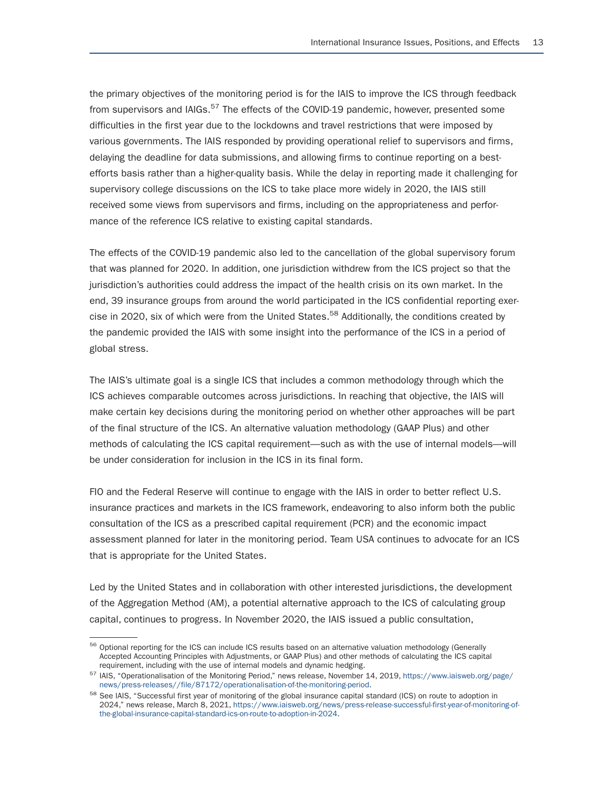the primary objectives of the monitoring period is for the IAIS to improve the ICS through feedback from supervisors and IAIGs.<sup>57</sup> The effects of the COVID-19 pandemic, however, presented some difficulties in the first year due to the lockdowns and travel restrictions that were imposed by various governments. The IAIS responded by providing operational relief to supervisors and firms, delaying the deadline for data submissions, and allowing firms to continue reporting on a bestefforts basis rather than a higher-quality basis. While the delay in reporting made it challenging for supervisory college discussions on the ICS to take place more widely in 2020, the IAIS still received some views from supervisors and firms, including on the appropriateness and performance of the reference ICS relative to existing capital standards.

The effects of the COVID-19 pandemic also led to the cancellation of the global supervisory forum that was planned for 2020. In addition, one jurisdiction withdrew from the ICS project so that the jurisdiction's authorities could address the impact of the health crisis on its own market. In the end, 39 insurance groups from around the world participated in the ICS confidential reporting exercise in 2020, six of which were from the United States.<sup>58</sup> Additionally, the conditions created by the pandemic provided the IAIS with some insight into the performance of the ICS in a period of global stress.

The IAIS's ultimate goal is a single ICS that includes a common methodology through which the ICS achieves comparable outcomes across jurisdictions. In reaching that objective, the IAIS will make certain key decisions during the monitoring period on whether other approaches will be part of the final structure of the ICS. An alternative valuation methodology (GAAP Plus) and other methods of calculating the ICS capital requirement—such as with the use of internal models—will be under consideration for inclusion in the ICS in its final form.

FIO and the Federal Reserve will continue to engage with the IAIS in order to better reflect U.S. insurance practices and markets in the ICS framework, endeavoring to also inform both the public consultation of the ICS as a prescribed capital requirement (PCR) and the economic impact assessment planned for later in the monitoring period. Team USA continues to advocate for an ICS that is appropriate for the United States.

Led by the United States and in collaboration with other interested jurisdictions, the development of the Aggregation Method (AM), a potential alternative approach to the ICS of calculating group capital, continues to progress. In November 2020, the IAIS issued a public consultation,

<sup>&</sup>lt;sup>56</sup> Optional reporting for the ICS can include ICS results based on an alternative valuation methodology (Generally Accepted Accounting Principles with Adjustments, or GAAP Plus) and other methods of calculating the ICS capital

<sup>&</sup>lt;sup>57</sup> IAIS, "Operationalisation of the Monitoring Period," news release, November 14, 2019, https://www.iaisweb.org/page/<br>news/press-releases//file/87172/operationalisation-of-the-monitoring-period.

<sup>&</sup>lt;sup>58</sup> See IAIS, "Successful first year of monitoring of the global insurance capital standard (ICS) on route to adoption in 2024," news release, March 8, 2021, https://www.iaisweb.org/news/press-release-successful-first-year-of-monitoring-ofthe-global-insurance-capital-standard-ics-on-route-to-adoption-in-2024.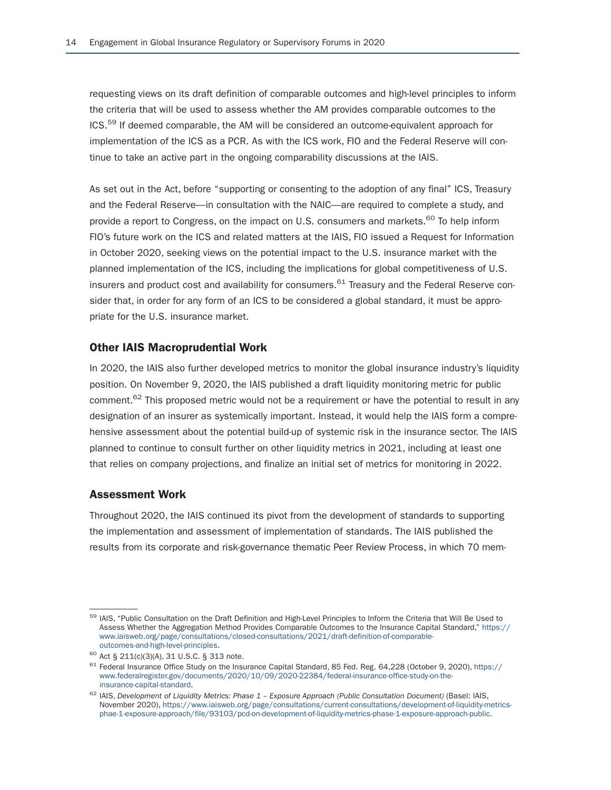requesting views on its draft definition of comparable outcomes and high-level principles to inform the criteria that will be used to assess whether the AM provides comparable outcomes to the ICS.59 If deemed comparable, the AM will be considered an outcome-equivalent approach for implementation of the ICS as a PCR. As with the ICS work, FIO and the Federal Reserve will continue to take an active part in the ongoing comparability discussions at the IAIS.

As set out in the Act, before "supporting or consenting to the adoption of any final" ICS, Treasury and the Federal Reserve—in consultation with the NAIC—are required to complete a study, and provide a report to Congress, on the impact on U.S. consumers and markets.<sup>60</sup> To help inform FIO's future work on the ICS and related matters at the IAIS, FIO issued a Request for Information in October 2020, seeking views on the potential impact to the U.S. insurance market with the planned implementation of the ICS, including the implications for global competitiveness of U.S. insurers and product cost and availability for consumers. $^{61}$  Treasury and the Federal Reserve consider that, in order for any form of an ICS to be considered a global standard, it must be appropriate for the U.S. insurance market.

#### Other IAIS Macroprudential Work

In 2020, the IAIS also further developed metrics to monitor the global insurance industry's liquidity position. On November 9, 2020, the IAIS published a draft liquidity monitoring metric for public comment.<sup>62</sup> This proposed metric would not be a requirement or have the potential to result in any designation of an insurer as systemically important. Instead, it would help the IAIS form a comprehensive assessment about the potential build-up of systemic risk in the insurance sector. The IAIS planned to continue to consult further on other liquidity metrics in 2021, including at least one that relies on company projections, and finalize an initial set of metrics for monitoring in 2022.

#### Assessment Work

Throughout 2020, the IAIS continued its pivot from the development of standards to supporting the implementation and assessment of implementation of standards. The IAIS published the results from its corporate and risk-governance thematic Peer Review Process, in which 70 mem-

<sup>&</sup>lt;sup>59</sup> IAIS, "Public Consultation on the Draft Definition and High-Level Principles to Inform the Criteria that Will Be Used to Assess Whether the Aggregation Method Provides Comparable Outcomes to the Insurance Capital Standard," https:// www.iaisweb.org/page/consultations/closed-consultations/2021/draft-definition-of-comparable-

 $^{60}$  Act § 211(c)(3)(A), 31 U.S.C. § 313 note.<br> $^{61}$  Federal Insurance Office Study on the Insurance Capital Standard, 85 Fed. Reg. 64,228 (October 9, 2020), https:// www.federalregister.gov/documents/2020/10/09/2020-22384/federal-insurance-office-study-on-the-<br>insurance-capital-standard.

<sup>62</sup> IAIS, Development of Liquidity Metrics: Phase 1 – Exposure Approach (Public Consultation Document) (Basel: IAIS, November 2020), https://www.iaisweb.org/page/consultations/current-consultations/development-of-liquidity-metricsphae-1-exposure-approach/file/93103/pcd-on-development-of-liquidity-metrics-phase-1-exposure-approach-public.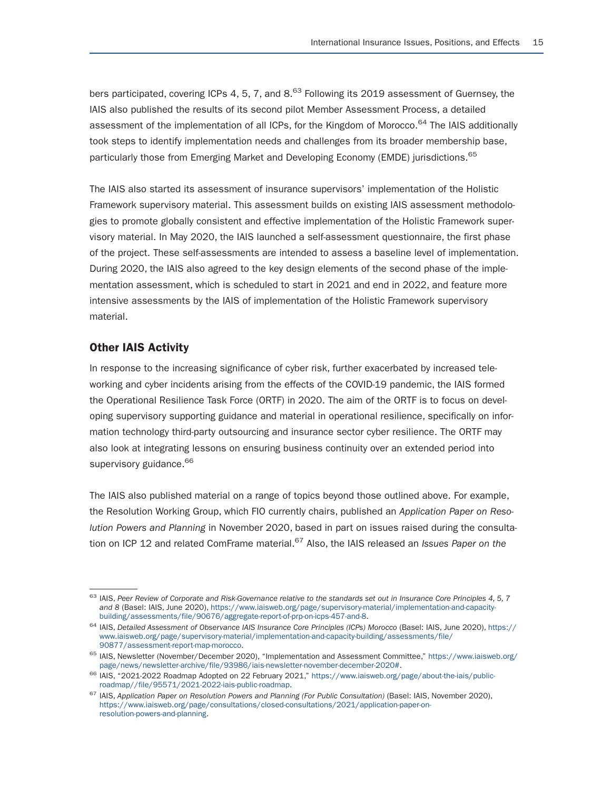bers participated, covering ICPs 4, 5, 7, and 8.<sup>63</sup> Following its 2019 assessment of Guernsey, the IAIS also published the results of its second pilot Member Assessment Process, a detailed assessment of the implementation of all ICPs, for the Kingdom of Morocco.<sup>64</sup> The IAIS additionally took steps to identify implementation needs and challenges from its broader membership base, particularly those from Emerging Market and Developing Economy (EMDE) jurisdictions.<sup>65</sup>

The IAIS also started its assessment of insurance supervisors' implementation of the Holistic Framework supervisory material. This assessment builds on existing IAIS assessment methodologies to promote globally consistent and effective implementation of the Holistic Framework supervisory material. In May 2020, the IAIS launched a self-assessment questionnaire, the first phase of the project. These self-assessments are intended to assess a baseline level of implementation. During 2020, the IAIS also agreed to the key design elements of the second phase of the implementation assessment, which is scheduled to start in 2021 and end in 2022, and feature more intensive assessments by the IAIS of implementation of the Holistic Framework supervisory material.

#### Other IAIS Activity

In response to the increasing significance of cyber risk, further exacerbated by increased teleworking and cyber incidents arising from the effects of the COVID-19 pandemic, the IAIS formed the Operational Resilience Task Force (ORTF) in 2020. The aim of the ORTF is to focus on developing supervisory supporting guidance and material in operational resilience, specifically on information technology third-party outsourcing and insurance sector cyber resilience. The ORTF may also look at integrating lessons on ensuring business continuity over an extended period into supervisory guidance.<sup>66</sup>

The IAIS also published material on a range of topics beyond those outlined above. For example, the Resolution Working Group, which FIO currently chairs, published an *Application Paper on Resolution Powers and Planning* in November 2020, based in part on issues raised during the consultation on ICP 12 and related ComFrame material.<sup>67</sup> Also, the IAIS released an *Issues Paper on the* 

<sup>63</sup> IAIS, *Peer Review of Corporate and Risk-Governance relative to the standards set out in Insurance Core Principles 4, 5, 7 and 8* (Basel: IAIS, June 2020), https://www.iaisweb.org/page/supervisory-material/implementation-and-capacity-

<sup>64</sup> IAIS, Detailed Assessment of Observance IAIS Insurance Core Principles (ICPs) Morocco (Basel: IAIS, June 2020), https:// www.iaisweb.org/page/supervisory-material/implementation-and-capacity-building/assessments/file/<br>90877/assessment-report-map-morocco.

<sup>&</sup>lt;sup>65</sup> IAIS, Newsletter (November/December 2020), "Implementation and Assessment Committee," https://www.iaisweb.org/<br>page/news/newsletter-archive/file/93986/iais-newsletter-november-december-2020#.

<sup>&</sup>lt;sup>66</sup> IAIS, "2021-2022 Roadmap Adopted on 22 February 2021," https://www.iaisweb.org/page/about-the-iais/public-roadmap Adopted on 22 February 2021," https://www.iaisweb.org/page/about-the-iais/public-roadmap.

<sup>&</sup>lt;sup>67</sup> IAIS, Application Paper on Resolution Powers and Planning (For Public Consultation) (Basel: IAIS, November 2020), https://www.iaisweb.org/page/consultations/closed-consultations/2021/application-paper-onresolution-powers-and-planning.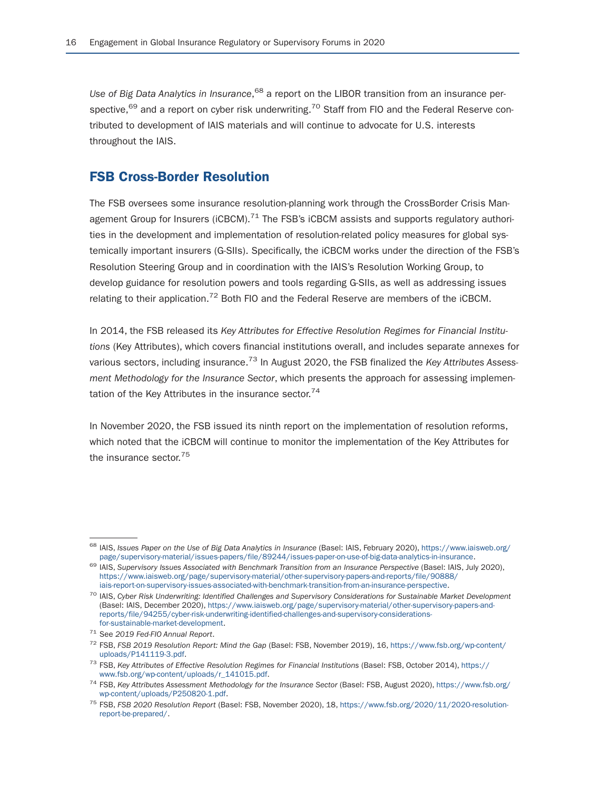Use of Big Data Analytics in Insurance,<sup>68</sup> a report on the LIBOR transition from an insurance perspective,<sup>69</sup> and a report on cyber risk underwriting.<sup>70</sup> Staff from FIO and the Federal Reserve contributed to development of IAIS materials and will continue to advocate for U.S. interests throughout the IAIS.

### FSB Cross-Border Resolution

The FSB oversees some insurance resolution-planning work through the CrossBorder Crisis Management Group for Insurers ( $i$ CBCM).<sup>71</sup> The FSB's  $i$ CBCM assists and supports regulatory authorities in the development and implementation of resolution-related policy measures for global systemically important insurers (G-SIIs). Specifically, the iCBCM works under the direction of the FSB's Resolution Steering Group and in coordination with the IAIS's Resolution Working Group, to develop guidance for resolution powers and tools regarding G-SIIs, as well as addressing issues relating to their application.<sup>72</sup> Both FIO and the Federal Reserve are members of the iCBCM.

In 2014, the FSB released its *Key Attributes for Effective Resolution Regimes for Financial Institutions* (Key Attributes), which covers financial institutions overall, and includes separate annexes for various sectors, including insurance.73 In August 2020, the FSB finalized the *Key Attributes Assessment Methodology for the Insurance Sector*, which presents the approach for assessing implementation of the Key Attributes in the insurance sector. $74$ 

In November 2020, the FSB issued its ninth report on the implementation of resolution reforms, which noted that the iCBCM will continue to monitor the implementation of the Key Attributes for the insurance sector.<sup>75</sup>

<sup>&</sup>lt;sup>68</sup> IAIS, *Issues Paper on the Use of Big Data Analytics in Insurance* (Basel: IAIS, February 2020), https://www.iaisweb.org/<br>page/supervisory-material/issues-papers/file/89244/issues-paper-on-use-of-big-data-analytics-in

<sup>69</sup> IAIS. Supervisory Issues Associated with Benchmark Transition from an Insurance Perspective (Basel: IAIS, July 2020), https://www.iaisweb.org/page/supervisory-material/other-supervisory-papers-and-reports/file/90888/

<sup>&</sup>lt;sup>70</sup> IAIS, Cyber Risk Underwriting: Identified Challenges and Supervisory Considerations for Sustainable Market Development (Basel: IAIS, December 2020), https://www.iaisweb.org/page/supervisory-material/other-supervisory-papers-andreports/file/94255/cyber-risk-underwriting-identified-challenges-and-supervisory-considerations-

for-sustainable-market-development. 71 See *2019 Fed-FIO Annual Report*. 72 FSB, *FSB 2019 Resolution Report: Mind the Gap* (Basel: FSB, November 2019), 16, https://www.fsb.org/wp-content/

<sup>&</sup>lt;sup>73</sup> FSB, *Key Attributes of Effective Resolution Regimes for Financial Institutions (Basel: FSB, October 2014), https:// www.fsb.org/wp-content/uploads/r\_141015.pdf.* 

<sup>&</sup>lt;sup>74</sup> FSB, Key Attributes Assessment Methodology for the Insurance Sector (Basel: FSB, August 2020), https://www.fsb.org/<br>wp-content/uploads/P250820-1.pdf.

<sup>&</sup>lt;sup>75</sup> FSB, FSB 2020 Resolution Report (Basel: FSB, November 2020), 18, https://www.fsb.org/2020/11/2020-resolutionreport-be-prepared/.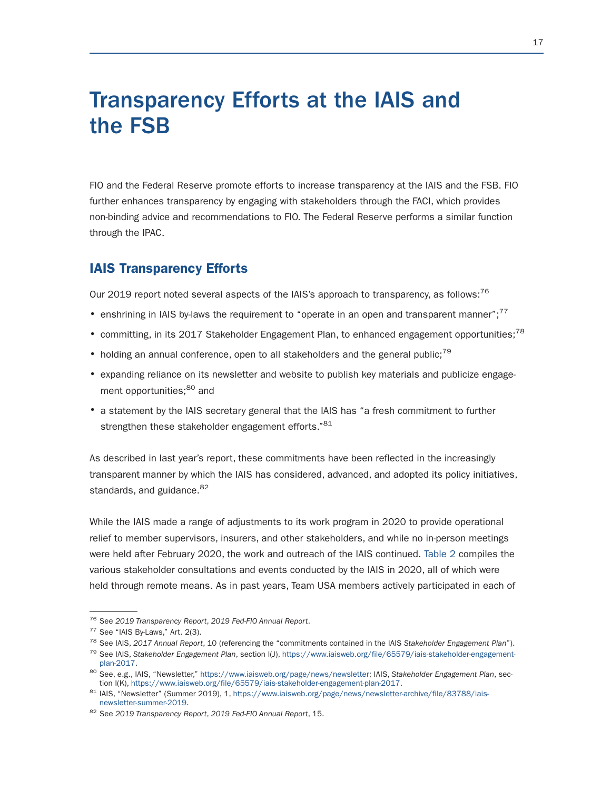# Transparency Efforts at the IAIS and the FSB

FIO and the Federal Reserve promote efforts to increase transparency at the IAIS and the FSB. FIO further enhances transparency by engaging with stakeholders through the FACI, which provides non-binding advice and recommendations to FIO. The Federal Reserve performs a similar function through the IPAC.

### IAIS Transparency Efforts

Our 2019 report noted several aspects of the IAIS's approach to transparency, as follows: $^{76}$ 

- enshrining in IAIS by-laws the requirement to "operate in an open and transparent manner";<sup>77</sup>
- committing, in its 2017 Stakeholder Engagement Plan, to enhanced engagement opportunities;<sup>78</sup>
- holding an annual conference, open to all stakeholders and the general public;<sup>79</sup>
- expanding reliance on its newsletter and website to publish key materials and publicize engagement opportunities;<sup>80</sup> and
- a statement by the IAIS secretary general that the IAIS has "a fresh commitment to further strengthen these stakeholder engagement efforts."<sup>81</sup>

As described in last year's report, these commitments have been reflected in the increasingly transparent manner by which the IAIS has considered, advanced, and adopted its policy initiatives, standards, and guidance.<sup>82</sup>

While the IAIS made a range of adjustments to its work program in 2020 to provide operational relief to member supervisors, insurers, and other stakeholders, and while no in-person meetings were held after February 2020, the work and outreach of the IAIS continued. Table 2 compiles the various stakeholder consultations and events conducted by the IAIS in 2020, all of which were held through remote means. As in past years, Team USA members actively participated in each of

<sup>&</sup>lt;sup>76</sup> See 2019 Transparency Report, 2019 Fed-FIO Annual Report.<br><sup>77</sup> See "IAIS By-Laws," Art. 2(3).<br><sup>78</sup> See IAIS, 2017 Annual Report, 10 (referencing the "commitments contained in the IAIS Stakeholder Engagement Plan").<br><sup>7</sup>

<sup>&</sup>lt;sup>80</sup> See, e.g., IAIS, "Newsletter," https://www.iaisweb.org/page/news/newsletter; IAIS, *Stakeholder Engagement Plan*, section I(K), https://www.iaisweb.org/file/65579/iais-stakeholder-engagement-plan-2017.

<sup>&</sup>lt;sup>81</sup> IAIS, "Newsletter" (Summer 2019), 1, https://www.iaisweb.org/page/news/newsletter-archive/file/83788/iais-<br>newsletter-summer-2019.

<sup>82</sup> See 2019 Transparency Report, 2019 Fed-FIO Annual Report, 15.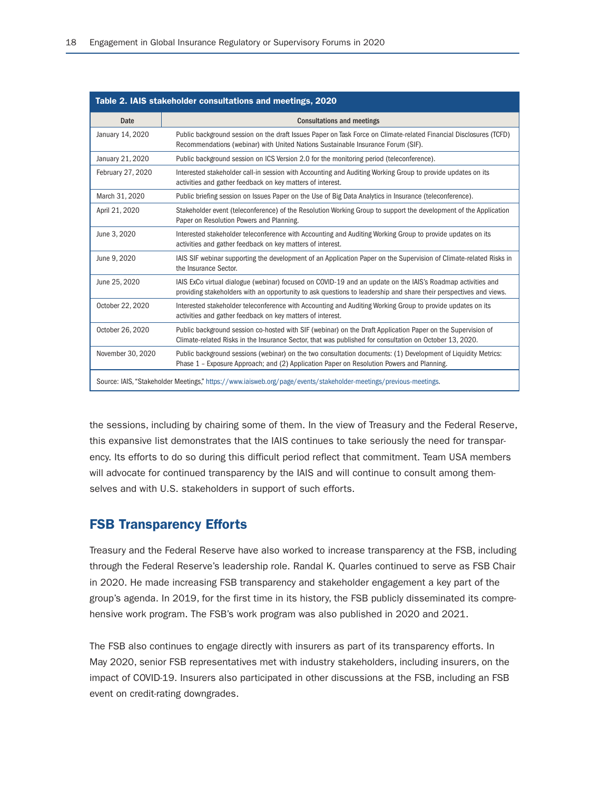| Table 2. IAIS stakeholder consultations and meetings, 2020 |                                                                                                                                                                                                                                  |  |
|------------------------------------------------------------|----------------------------------------------------------------------------------------------------------------------------------------------------------------------------------------------------------------------------------|--|
| Date                                                       | <b>Consultations and meetings</b>                                                                                                                                                                                                |  |
| January 14, 2020                                           | Public background session on the draft Issues Paper on Task Force on Climate-related Financial Disclosures (TCFD)<br>Recommendations (webinar) with United Nations Sustainable Insurance Forum (SIF).                            |  |
| January 21, 2020                                           | Public background session on ICS Version 2.0 for the monitoring period (teleconference).                                                                                                                                         |  |
| February 27, 2020                                          | Interested stakeholder call-in session with Accounting and Auditing Working Group to provide updates on its<br>activities and gather feedback on key matters of interest.                                                        |  |
| March 31, 2020                                             | Public briefing session on Issues Paper on the Use of Big Data Analytics in Insurance (teleconference).                                                                                                                          |  |
| April 21, 2020                                             | Stakeholder event (teleconference) of the Resolution Working Group to support the development of the Application<br>Paper on Resolution Powers and Planning.                                                                     |  |
| June 3, 2020                                               | Interested stakeholder teleconference with Accounting and Auditing Working Group to provide updates on its<br>activities and gather feedback on key matters of interest.                                                         |  |
| June 9, 2020                                               | IAIS SIF webinar supporting the development of an Application Paper on the Supervision of Climate-related Risks in<br>the Insurance Sector.                                                                                      |  |
| June 25, 2020                                              | IAIS ExCo virtual dialogue (webinar) focused on COVID-19 and an update on the IAIS's Roadmap activities and<br>providing stakeholders with an opportunity to ask questions to leadership and share their perspectives and views. |  |
| October 22, 2020                                           | Interested stakeholder teleconference with Accounting and Auditing Working Group to provide updates on its<br>activities and gather feedback on key matters of interest.                                                         |  |
| October 26, 2020                                           | Public background session co-hosted with SIF (webinar) on the Draft Application Paper on the Supervision of<br>Climate-related Risks in the Insurance Sector, that was published for consultation on October 13, 2020.           |  |
| November 30, 2020                                          | Public background sessions (webinar) on the two consultation documents: (1) Development of Liquidity Metrics:<br>Phase 1 - Exposure Approach; and (2) Application Paper on Resolution Powers and Planning.                       |  |
|                                                            | Source: IAIS, "Stakeholder Meetings," https://www.iaisweb.org/page/events/stakeholder-meetings/previous-meetings.                                                                                                                |  |

the sessions, including by chairing some of them. In the view of Treasury and the Federal Reserve, this expansive list demonstrates that the IAIS continues to take seriously the need for transparency. Its efforts to do so during this difficult period reflect that commitment. Team USA members will advocate for continued transparency by the IAIS and will continue to consult among themselves and with U.S. stakeholders in support of such efforts.

### FSB Transparency Efforts

Treasury and the Federal Reserve have also worked to increase transparency at the FSB, including through the Federal Reserve's leadership role. Randal K. Quarles continued to serve as FSB Chair in 2020. He made increasing FSB transparency and stakeholder engagement a key part of the group's agenda. In 2019, for the first time in its history, the FSB publicly disseminated its comprehensive work program. The FSB's work program was also published in 2020 and 2021.

The FSB also continues to engage directly with insurers as part of its transparency efforts. In May 2020, senior FSB representatives met with industry stakeholders, including insurers, on the impact of COVID-19. Insurers also participated in other discussions at the FSB, including an FSB event on credit-rating downgrades.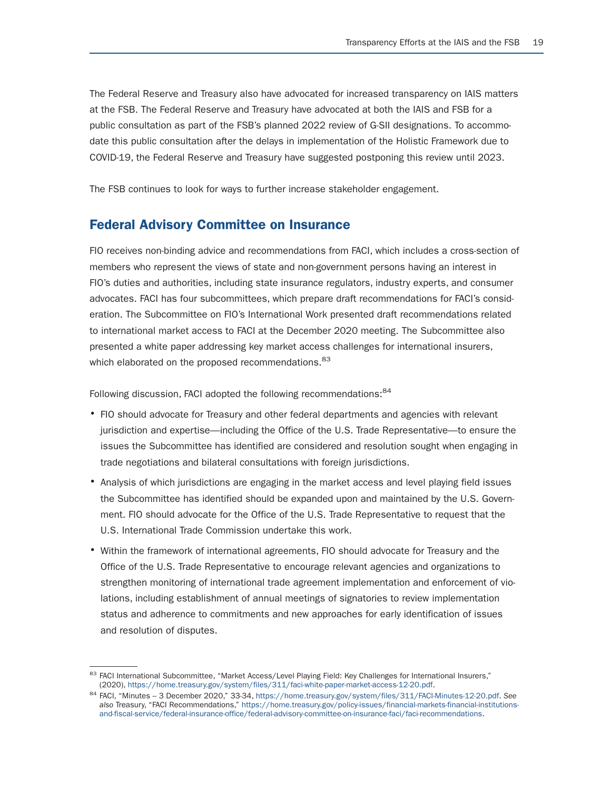The Federal Reserve and Treasury also have advocated for increased transparency on IAIS matters at the FSB. The Federal Reserve and Treasury have advocated at both the IAIS and FSB for a public consultation as part of the FSB's planned 2022 review of G-SII designations. To accommodate this public consultation after the delays in implementation of the Holistic Framework due to COVID-19, the Federal Reserve and Treasury have suggested postponing this review until 2023.

The FSB continues to look for ways to further increase stakeholder engagement.

### Federal Advisory Committee on Insurance

FIO receives non-binding advice and recommendations from FACI, which includes a cross-section of members who represent the views of state and non-government persons having an interest in FIO's duties and authorities, including state insurance regulators, industry experts, and consumer advocates. FACI has four subcommittees, which prepare draft recommendations for FACI's consideration. The Subcommittee on FIO's International Work presented draft recommendations related to international market access to FACI at the December 2020 meeting. The Subcommittee also presented a white paper addressing key market access challenges for international insurers, which elaborated on the proposed recommendations. <sup>83</sup>

Following discussion, FACI adopted the following recommendations: 84

- FIO should advocate for Treasury and other federal departments and agencies with relevant jurisdiction and expertise—including the Office of the U.S. Trade Representative—to ensure the issues the Subcommittee has identified are considered and resolution sought when engaging in trade negotiations and bilateral consultations with foreign jurisdictions.
- Analysis of which jurisdictions are engaging in the market access and level playing field issues the Subcommittee has identified should be expanded upon and maintained by the U.S. Government. FIO should advocate for the Office of the U.S. Trade Representative to request that the U.S. International Trade Commission undertake this work.
- Within the framework of international agreements, FIO should advocate for Treasury and the Office of the U.S. Trade Representative to encourage relevant agencies and organizations to strengthen monitoring of international trade agreement implementation and enforcement of violations, including establishment of annual meetings of signatories to review implementation status and adherence to commitments and new approaches for early identification of issues and resolution of disputes.

<sup>&</sup>lt;sup>83</sup> FACI International Subcommittee, "Market Access/Level Playing Field: Key Challenges for International Insurers,"<br>(2020), https://home.treasury.gov/system/files/311/faci-white-paper-market-access-12-20.pdf.

<sup>(2020),</sup> https://home.treasury.gov/system/files/311/faci-white-paper-market-access-12-20.pdf. 84 FACI, "Minutes – 3 December 2020," 33-34, https://home.treasury.gov/system/files/311/FACI-Minutes-12-20.pdf. *See also* Treasury, "FACI Recommendations," https://home.treasury.gov/policy-issues/financial-markets-financial-institutionsand-fiscal-service/federal-insurance-office/federal-advisory-committee-on-insurance-faci/faci-recommendations.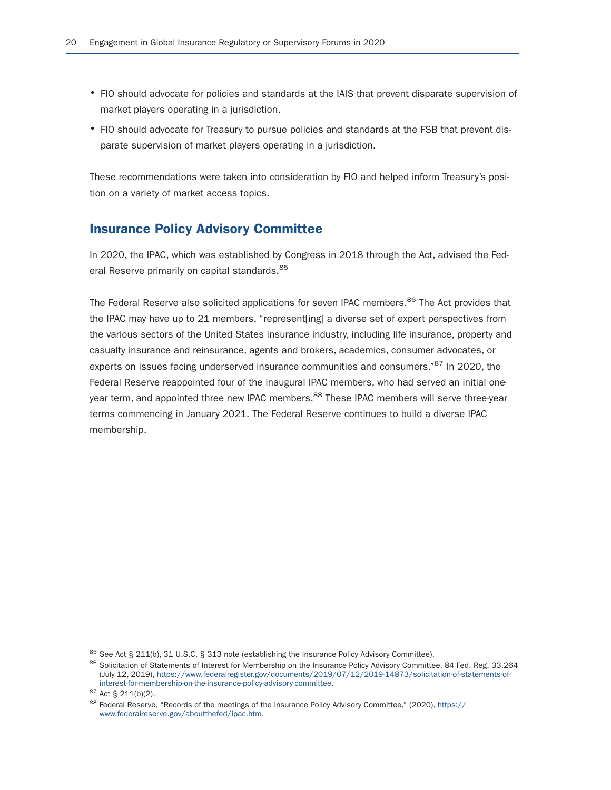- FIO should advocate for policies and standards at the IAIS that prevent disparate supervision of market players operating in a jurisdiction.
- FIO should advocate for Treasury to pursue policies and standards at the FSB that prevent disparate supervision of market players operating in a jurisdiction.

These recommendations were taken into consideration by FIO and helped inform Treasury's position on a variety of market access topics.

## Insurance Policy Advisory Committee

In 2020, the IPAC, which was established by Congress in 2018 through the Act, advised the Federal Reserve primarily on capital standards.<sup>85</sup>

The Federal Reserve also solicited applications for seven IPAC members.<sup>86</sup> The Act provides that the IPAC may have up to 21 members, "represent[ing] a diverse set of expert perspectives from the various sectors of the United States insurance industry, including life insurance, property and casualty insurance and reinsurance, agents and brokers, academics, consumer advocates, or experts on issues facing underserved insurance communities and consumers."<sup>87</sup> In 2020, the Federal Reserve reappointed four of the inaugural IPAC members, who had served an initial oneyear term, and appointed three new IPAC members.<sup>88</sup> These IPAC members will serve three-year terms commencing in January 2021. The Federal Reserve continues to build a diverse IPAC membership.

<sup>&</sup>lt;sup>85</sup> See Act § 211(b), 31 U.S.C. § 313 note (establishing the Insurance Policy Advisory Committee).<br><sup>86</sup> Solicitation of Statements of Interest for Membership on the Insurance Policy Advisory Committee, 84 Fed. Reg. 33,26 (July 12, 2019), https://www.federalregister.gov/documents/2019/07/12/2019-14873/solicitation-of-statements-of-<br>interest-for-membership-on-the-insurance-policy-advisory-committee.

<sup>&</sup>lt;sup>87</sup> Act § 211(b)(2).<br><sup>88</sup> Federal Reserve, "Records of the meetings of the Insurance Policy Advisory Committee," (2020), https:// www.federalreserve.gov/aboutthefed/ipac.htm.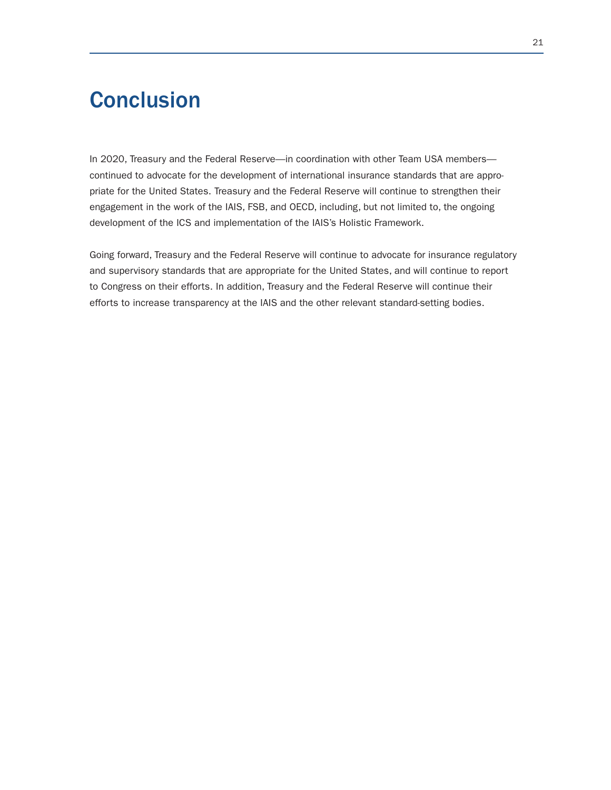# **Conclusion**

In 2020, Treasury and the Federal Reserve—in coordination with other Team USA members continued to advocate for the development of international insurance standards that are appropriate for the United States. Treasury and the Federal Reserve will continue to strengthen their engagement in the work of the IAIS, FSB, and OECD, including, but not limited to, the ongoing development of the ICS and implementation of the IAIS's Holistic Framework.

Going forward, Treasury and the Federal Reserve will continue to advocate for insurance regulatory and supervisory standards that are appropriate for the United States, and will continue to report to Congress on their efforts. In addition, Treasury and the Federal Reserve will continue their efforts to increase transparency at the IAIS and the other relevant standard-setting bodies.